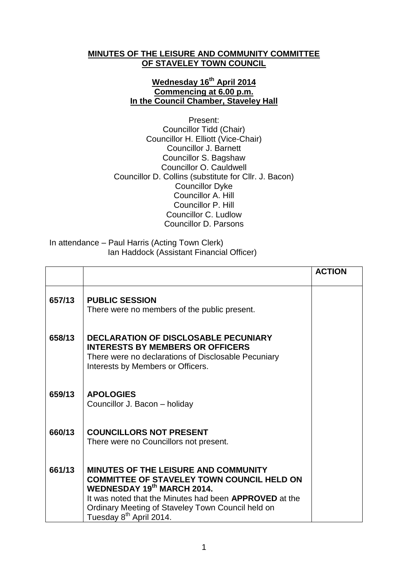## **MINUTES OF THE LEISURE AND COMMUNITY COMMITTEE OF STAVELEY TOWN COUNCIL**

## **Wednesday 16 th April 2014 Commencing at 6.00 p.m. In the Council Chamber, Staveley Hall**

Present: Councillor Tidd (Chair) Councillor H. Elliott (Vice-Chair) Councillor J. Barnett Councillor S. Bagshaw Councillor O. Cauldwell Councillor D. Collins (substitute for Cllr. J. Bacon) Councillor Dyke Councillor A. Hill Councillor P. Hill Councillor C. Ludlow Councillor D. Parsons

In attendance – Paul Harris (Acting Town Clerk) Ian Haddock (Assistant Financial Officer)

|        |                                                                                                                                                                                                                                                                                                    | <b>ACTION</b> |
|--------|----------------------------------------------------------------------------------------------------------------------------------------------------------------------------------------------------------------------------------------------------------------------------------------------------|---------------|
| 657/13 | <b>PUBLIC SESSION</b><br>There were no members of the public present.                                                                                                                                                                                                                              |               |
| 658/13 | <b>DECLARATION OF DISCLOSABLE PECUNIARY</b><br><b>INTERESTS BY MEMBERS OR OFFICERS</b><br>There were no declarations of Disclosable Pecuniary<br>Interests by Members or Officers.                                                                                                                 |               |
| 659/13 | <b>APOLOGIES</b><br>Councillor J. Bacon - holiday                                                                                                                                                                                                                                                  |               |
| 660/13 | <b>COUNCILLORS NOT PRESENT</b><br>There were no Councillors not present.                                                                                                                                                                                                                           |               |
| 661/13 | <b>MINUTES OF THE LEISURE AND COMMUNITY</b><br><b>COMMITTEE OF STAVELEY TOWN COUNCIL HELD ON</b><br><b>WEDNESDAY 19th MARCH 2014.</b><br>It was noted that the Minutes had been <b>APPROVED</b> at the<br>Ordinary Meeting of Staveley Town Council held on<br>Tuesday 8 <sup>th</sup> April 2014. |               |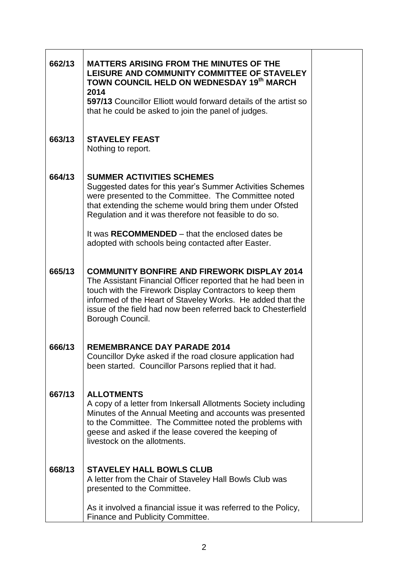| 662/13 | <b>MATTERS ARISING FROM THE MINUTES OF THE</b><br>LEISURE AND COMMUNITY COMMITTEE OF STAVELEY<br>TOWN COUNCIL HELD ON WEDNESDAY 19th MARCH<br>2014<br>597/13 Councillor Elliott would forward details of the artist so<br>that he could be asked to join the panel of judges.                                                     |  |
|--------|-----------------------------------------------------------------------------------------------------------------------------------------------------------------------------------------------------------------------------------------------------------------------------------------------------------------------------------|--|
| 663/13 | <b>STAVELEY FEAST</b><br>Nothing to report.                                                                                                                                                                                                                                                                                       |  |
| 664/13 | <b>SUMMER ACTIVITIES SCHEMES</b><br>Suggested dates for this year's Summer Activities Schemes<br>were presented to the Committee. The Committee noted<br>that extending the scheme would bring them under Ofsted<br>Regulation and it was therefore not feasible to do so.                                                        |  |
|        | It was RECOMMENDED – that the enclosed dates be<br>adopted with schools being contacted after Easter.                                                                                                                                                                                                                             |  |
| 665/13 | <b>COMMUNITY BONFIRE AND FIREWORK DISPLAY 2014</b><br>The Assistant Financial Officer reported that he had been in<br>touch with the Firework Display Contractors to keep them<br>informed of the Heart of Staveley Works. He added that the<br>issue of the field had now been referred back to Chesterfield<br>Borough Council. |  |
| 666/13 | <b>REMEMBRANCE DAY PARADE 2014</b><br>Councillor Dyke asked if the road closure application had<br>been started. Councillor Parsons replied that it had.                                                                                                                                                                          |  |
| 667/13 | <b>ALLOTMENTS</b><br>A copy of a letter from Inkersall Allotments Society including<br>Minutes of the Annual Meeting and accounts was presented<br>to the Committee. The Committee noted the problems with<br>geese and asked if the lease covered the keeping of<br>livestock on the allotments.                                 |  |
| 668/13 | <b>STAVELEY HALL BOWLS CLUB</b><br>A letter from the Chair of Staveley Hall Bowls Club was<br>presented to the Committee.                                                                                                                                                                                                         |  |
|        | As it involved a financial issue it was referred to the Policy,<br>Finance and Publicity Committee.                                                                                                                                                                                                                               |  |